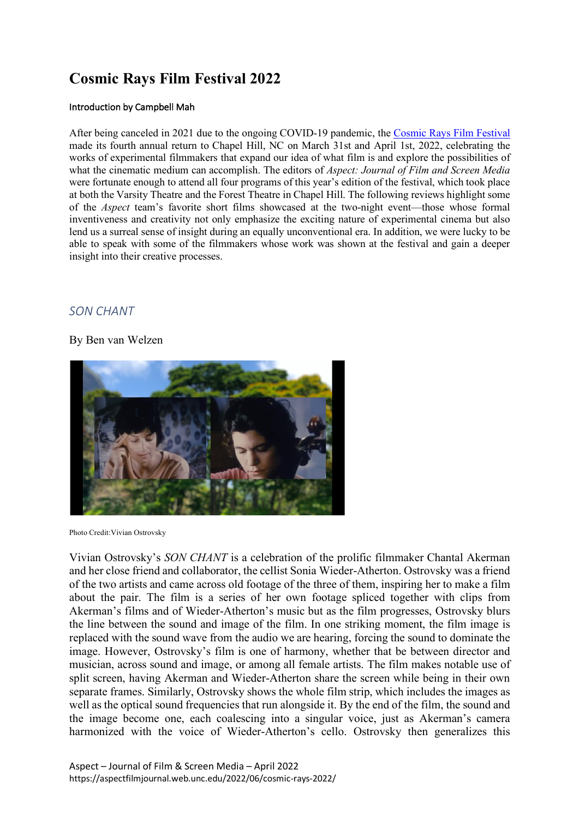# **Cosmic Rays Film Festival 2022**

#### Introduction by Campbell Mah

After being canceled in 2021 due to the ongoing COVID-19 pandemic, the Cosmic Rays Film Festival made its fourth annual return to Chapel Hill, NC on March 31st and April 1st, 2022, celebrating the works of experimental filmmakers that expand our idea of what film is and explore the possibilities of what the cinematic medium can accomplish. The editors of *Aspect: Journal of Film and Screen Media*  were fortunate enough to attend all four programs of this year's edition of the festival, which took place at both the Varsity Theatre and the Forest Theatre in Chapel Hill. The following reviews highlight some of the *Aspect* team's favorite short films showcased at the two-night event—those whose formal inventiveness and creativity not only emphasize the exciting nature of experimental cinema but also lend us a surreal sense of insight during an equally unconventional era. In addition, we were lucky to be able to speak with some of the filmmakers whose work was shown at the festival and gain a deeper insight into their creative processes.

# *SON CHANT*

### By Ben van Welzen



Photo Credit:Vivian Ostrovsky

Vivian Ostrovsky's *SON CHANT* is a celebration of the prolific filmmaker Chantal Akerman and her close friend and collaborator, the cellist Sonia Wieder-Atherton. Ostrovsky was a friend of the two artists and came across old footage of the three of them, inspiring her to make a film about the pair. The film is a series of her own footage spliced together with clips from Akerman's films and of Wieder-Atherton's music but as the film progresses, Ostrovsky blurs the line between the sound and image of the film. In one striking moment, the film image is replaced with the sound wave from the audio we are hearing, forcing the sound to dominate the image. However, Ostrovsky's film is one of harmony, whether that be between director and musician, across sound and image, or among all female artists. The film makes notable use of split screen, having Akerman and Wieder-Atherton share the screen while being in their own separate frames. Similarly, Ostrovsky shows the whole film strip, which includes the images as well as the optical sound frequencies that run alongside it. By the end of the film, the sound and the image become one, each coalescing into a singular voice, just as Akerman's camera harmonized with the voice of Wieder-Atherton's cello. Ostrovsky then generalizes this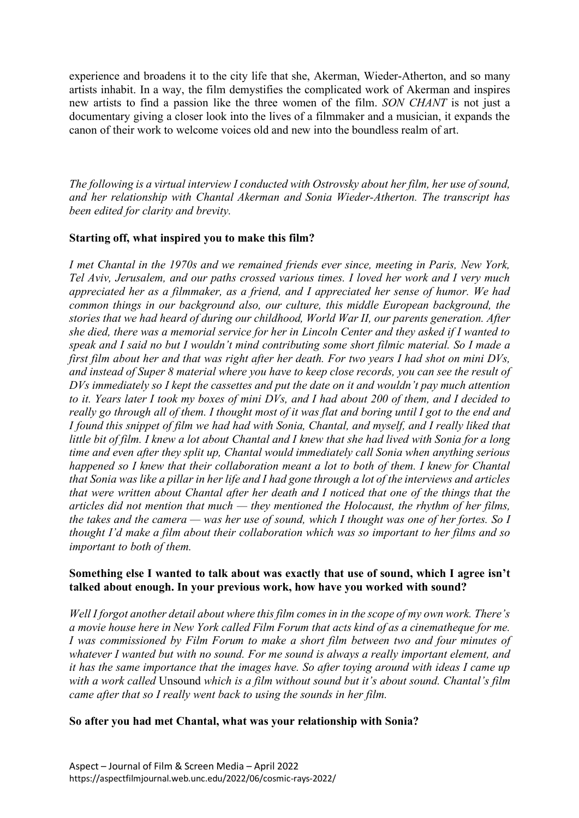experience and broadens it to the city life that she, Akerman, Wieder-Atherton, and so many artists inhabit. In a way, the film demystifies the complicated work of Akerman and inspires new artists to find a passion like the three women of the film. *SON CHANT* is not just a documentary giving a closer look into the lives of a filmmaker and a musician, it expands the canon of their work to welcome voices old and new into the boundless realm of art.

*The following is a virtual interview I conducted with Ostrovsky about her film, her use of sound, and her relationship with Chantal Akerman and Sonia Wieder-Atherton. The transcript has been edited for clarity and brevity.*

### **Starting off, what inspired you to make this film?**

*I met Chantal in the 1970s and we remained friends ever since, meeting in Paris, New York, Tel Aviv, Jerusalem, and our paths crossed various times. I loved her work and I very much appreciated her as a filmmaker, as a friend, and I appreciated her sense of humor. We had common things in our background also, our culture, this middle European background, the stories that we had heard of during our childhood, World War II, our parents generation. After she died, there was a memorial service for her in Lincoln Center and they asked if I wanted to speak and I said no but I wouldn't mind contributing some short filmic material. So I made a first film about her and that was right after her death. For two years I had shot on mini DVs, and instead of Super 8 material where you have to keep close records, you can see the result of DVs immediately so I kept the cassettes and put the date on it and wouldn't pay much attention to it. Years later I took my boxes of mini DVs, and I had about 200 of them, and I decided to really go through all of them. I thought most of it was flat and boring until I got to the end and I found this snippet of film we had had with Sonia, Chantal, and myself, and I really liked that little bit of film. I knew a lot about Chantal and I knew that she had lived with Sonia for a long time and even after they split up, Chantal would immediately call Sonia when anything serious happened so I knew that their collaboration meant a lot to both of them. I knew for Chantal that Sonia was like a pillar in her life and I had gone through a lot of the interviews and articles that were written about Chantal after her death and I noticed that one of the things that the articles did not mention that much — they mentioned the Holocaust, the rhythm of her films, the takes and the camera — was her use of sound, which I thought was one of her fortes. So I thought I'd make a film about their collaboration which was so important to her films and so important to both of them.*

### **Something else I wanted to talk about was exactly that use of sound, which I agree isn't talked about enough. In your previous work, how have you worked with sound?**

*Well I forgot another detail about where this film comes in in the scope of my own work. There's a movie house here in New York called Film Forum that acts kind of as a cinematheque for me. I* was commissioned by Film Forum to make a short film between two and four minutes of *whatever I wanted but with no sound. For me sound is always a really important element, and it has the same importance that the images have. So after toying around with ideas I came up with a work called* Unsound *which is a film without sound but it's about sound. Chantal's film came after that so I really went back to using the sounds in her film.*

#### **So after you had met Chantal, what was your relationship with Sonia?**